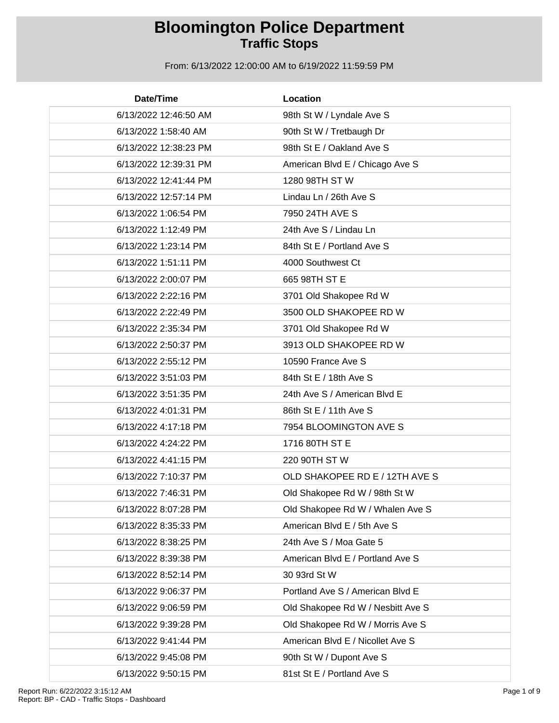| Date/Time             | Location                          |
|-----------------------|-----------------------------------|
| 6/13/2022 12:46:50 AM | 98th St W / Lyndale Ave S         |
| 6/13/2022 1:58:40 AM  | 90th St W / Tretbaugh Dr          |
| 6/13/2022 12:38:23 PM | 98th St E / Oakland Ave S         |
| 6/13/2022 12:39:31 PM | American Blvd E / Chicago Ave S   |
| 6/13/2022 12:41:44 PM | 1280 98TH ST W                    |
| 6/13/2022 12:57:14 PM | Lindau Ln / 26th Ave S            |
| 6/13/2022 1:06:54 PM  | 7950 24TH AVE S                   |
| 6/13/2022 1:12:49 PM  | 24th Ave S / Lindau Ln            |
| 6/13/2022 1:23:14 PM  | 84th St E / Portland Ave S        |
| 6/13/2022 1:51:11 PM  | 4000 Southwest Ct                 |
| 6/13/2022 2:00:07 PM  | 665 98TH ST E                     |
| 6/13/2022 2:22:16 PM  | 3701 Old Shakopee Rd W            |
| 6/13/2022 2:22:49 PM  | 3500 OLD SHAKOPEE RD W            |
| 6/13/2022 2:35:34 PM  | 3701 Old Shakopee Rd W            |
| 6/13/2022 2:50:37 PM  | 3913 OLD SHAKOPEE RD W            |
| 6/13/2022 2:55:12 PM  | 10590 France Ave S                |
| 6/13/2022 3:51:03 PM  | 84th St E / 18th Ave S            |
| 6/13/2022 3:51:35 PM  | 24th Ave S / American Blvd E      |
| 6/13/2022 4:01:31 PM  | 86th St E / 11th Ave S            |
| 6/13/2022 4:17:18 PM  | 7954 BLOOMINGTON AVE S            |
| 6/13/2022 4:24:22 PM  | 1716 80TH ST E                    |
| 6/13/2022 4:41:15 PM  | 220 90TH ST W                     |
| 6/13/2022 7:10:37 PM  | OLD SHAKOPEE RD E / 12TH AVE S    |
| 6/13/2022 7:46:31 PM  | Old Shakopee Rd W / 98th St W     |
| 6/13/2022 8:07:28 PM  | Old Shakopee Rd W / Whalen Ave S  |
| 6/13/2022 8:35:33 PM  | American Blvd E / 5th Ave S       |
| 6/13/2022 8:38:25 PM  | 24th Ave S / Moa Gate 5           |
| 6/13/2022 8:39:38 PM  | American Blvd E / Portland Ave S  |
| 6/13/2022 8:52:14 PM  | 30 93rd St W                      |
| 6/13/2022 9:06:37 PM  | Portland Ave S / American Blvd E  |
| 6/13/2022 9:06:59 PM  | Old Shakopee Rd W / Nesbitt Ave S |
| 6/13/2022 9:39:28 PM  | Old Shakopee Rd W / Morris Ave S  |
| 6/13/2022 9:41:44 PM  | American Blvd E / Nicollet Ave S  |
| 6/13/2022 9:45:08 PM  | 90th St W / Dupont Ave S          |
| 6/13/2022 9:50:15 PM  | 81st St E / Portland Ave S        |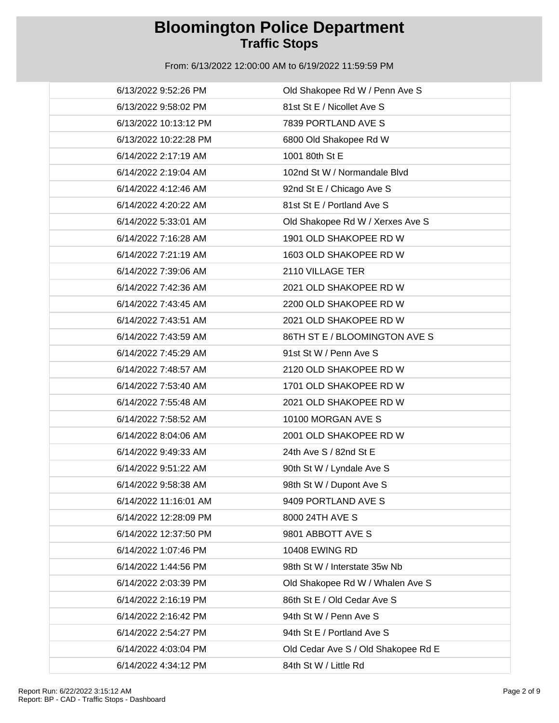| 6/13/2022 9:52:26 PM  | Old Shakopee Rd W / Penn Ave S      |
|-----------------------|-------------------------------------|
| 6/13/2022 9:58:02 PM  | 81st St E / Nicollet Ave S          |
| 6/13/2022 10:13:12 PM | 7839 PORTLAND AVE S                 |
| 6/13/2022 10:22:28 PM | 6800 Old Shakopee Rd W              |
| 6/14/2022 2:17:19 AM  | 1001 80th St E                      |
| 6/14/2022 2:19:04 AM  | 102nd St W / Normandale Blvd        |
| 6/14/2022 4:12:46 AM  | 92nd St E / Chicago Ave S           |
| 6/14/2022 4:20:22 AM  | 81st St E / Portland Ave S          |
| 6/14/2022 5:33:01 AM  | Old Shakopee Rd W / Xerxes Ave S    |
| 6/14/2022 7:16:28 AM  | 1901 OLD SHAKOPEE RD W              |
| 6/14/2022 7:21:19 AM  | 1603 OLD SHAKOPEE RD W              |
| 6/14/2022 7:39:06 AM  | 2110 VILLAGE TER                    |
| 6/14/2022 7:42:36 AM  | 2021 OLD SHAKOPEE RD W              |
| 6/14/2022 7:43:45 AM  | 2200 OLD SHAKOPEE RD W              |
| 6/14/2022 7:43:51 AM  | 2021 OLD SHAKOPEE RD W              |
| 6/14/2022 7:43:59 AM  | 86TH ST E / BLOOMINGTON AVE S       |
| 6/14/2022 7:45:29 AM  | 91st St W / Penn Ave S              |
| 6/14/2022 7:48:57 AM  | 2120 OLD SHAKOPEE RD W              |
| 6/14/2022 7:53:40 AM  | 1701 OLD SHAKOPEE RD W              |
| 6/14/2022 7:55:48 AM  | 2021 OLD SHAKOPEE RD W              |
| 6/14/2022 7:58:52 AM  | 10100 MORGAN AVE S                  |
| 6/14/2022 8:04:06 AM  | 2001 OLD SHAKOPEE RD W              |
| 6/14/2022 9:49:33 AM  | 24th Ave S / 82nd St E              |
| 6/14/2022 9:51:22 AM  | 90th St W / Lyndale Ave S           |
| 6/14/2022 9:58:38 AM  | 98th St W / Dupont Ave S            |
| 6/14/2022 11:16:01 AM | 9409 PORTLAND AVE S                 |
| 6/14/2022 12:28:09 PM | 8000 24TH AVE S                     |
| 6/14/2022 12:37:50 PM | 9801 ABBOTT AVE S                   |
| 6/14/2022 1:07:46 PM  | <b>10408 EWING RD</b>               |
| 6/14/2022 1:44:56 PM  | 98th St W / Interstate 35w Nb       |
| 6/14/2022 2:03:39 PM  | Old Shakopee Rd W / Whalen Ave S    |
| 6/14/2022 2:16:19 PM  | 86th St E / Old Cedar Ave S         |
| 6/14/2022 2:16:42 PM  | 94th St W / Penn Ave S              |
| 6/14/2022 2:54:27 PM  | 94th St E / Portland Ave S          |
| 6/14/2022 4:03:04 PM  | Old Cedar Ave S / Old Shakopee Rd E |
| 6/14/2022 4:34:12 PM  | 84th St W / Little Rd               |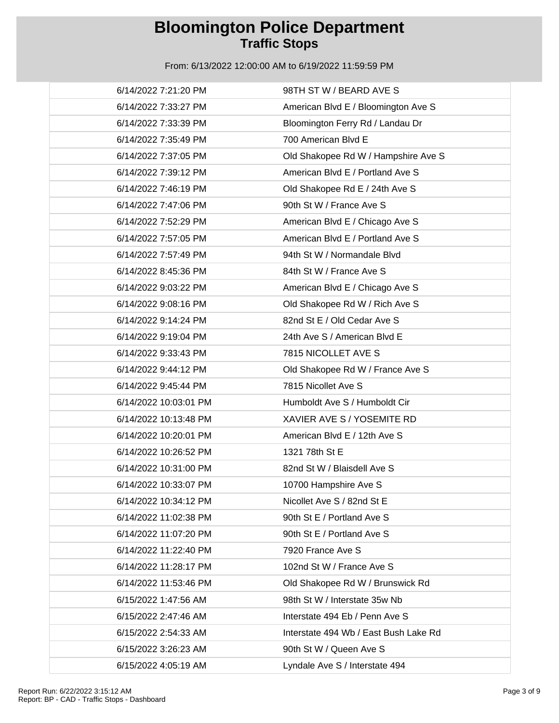| 6/14/2022 7:21:20 PM  | 98TH ST W / BEARD AVE S               |
|-----------------------|---------------------------------------|
| 6/14/2022 7:33:27 PM  | American Blvd E / Bloomington Ave S   |
| 6/14/2022 7:33:39 PM  | Bloomington Ferry Rd / Landau Dr      |
| 6/14/2022 7:35:49 PM  | 700 American Blvd E                   |
| 6/14/2022 7:37:05 PM  | Old Shakopee Rd W / Hampshire Ave S   |
| 6/14/2022 7:39:12 PM  | American Blvd E / Portland Ave S      |
| 6/14/2022 7:46:19 PM  | Old Shakopee Rd E / 24th Ave S        |
| 6/14/2022 7:47:06 PM  | 90th St W / France Ave S              |
| 6/14/2022 7:52:29 PM  | American Blvd E / Chicago Ave S       |
| 6/14/2022 7:57:05 PM  | American Blvd E / Portland Ave S      |
| 6/14/2022 7:57:49 PM  | 94th St W / Normandale Blvd           |
| 6/14/2022 8:45:36 PM  | 84th St W / France Ave S              |
| 6/14/2022 9:03:22 PM  | American Blvd E / Chicago Ave S       |
| 6/14/2022 9:08:16 PM  | Old Shakopee Rd W / Rich Ave S        |
| 6/14/2022 9:14:24 PM  | 82nd St E / Old Cedar Ave S           |
| 6/14/2022 9:19:04 PM  | 24th Ave S / American Blvd E          |
| 6/14/2022 9:33:43 PM  | 7815 NICOLLET AVE S                   |
| 6/14/2022 9:44:12 PM  | Old Shakopee Rd W / France Ave S      |
| 6/14/2022 9:45:44 PM  | 7815 Nicollet Ave S                   |
| 6/14/2022 10:03:01 PM | Humboldt Ave S / Humboldt Cir         |
| 6/14/2022 10:13:48 PM | XAVIER AVE S / YOSEMITE RD            |
| 6/14/2022 10:20:01 PM | American Blvd E / 12th Ave S          |
| 6/14/2022 10:26:52 PM | 1321 78th St E                        |
| 6/14/2022 10:31:00 PM | 82nd St W / Blaisdell Ave S           |
| 6/14/2022 10:33:07 PM | 10700 Hampshire Ave S                 |
| 6/14/2022 10:34:12 PM | Nicollet Ave S / 82nd St E            |
| 6/14/2022 11:02:38 PM | 90th St E / Portland Ave S            |
| 6/14/2022 11:07:20 PM | 90th St E / Portland Ave S            |
| 6/14/2022 11:22:40 PM | 7920 France Ave S                     |
| 6/14/2022 11:28:17 PM | 102nd St W / France Ave S             |
| 6/14/2022 11:53:46 PM | Old Shakopee Rd W / Brunswick Rd      |
| 6/15/2022 1:47:56 AM  | 98th St W / Interstate 35w Nb         |
| 6/15/2022 2:47:46 AM  | Interstate 494 Eb / Penn Ave S        |
| 6/15/2022 2:54:33 AM  | Interstate 494 Wb / East Bush Lake Rd |
| 6/15/2022 3:26:23 AM  | 90th St W / Queen Ave S               |
| 6/15/2022 4:05:19 AM  | Lyndale Ave S / Interstate 494        |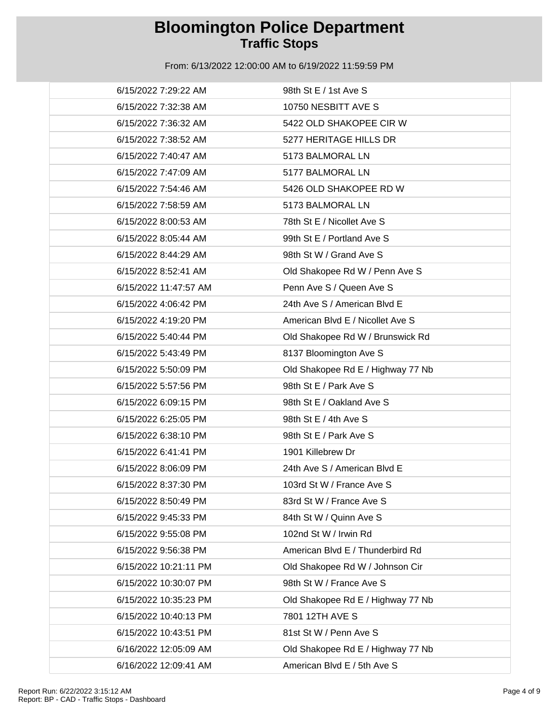| 6/15/2022 7:29:22 AM  | 98th St E / 1st Ave S             |
|-----------------------|-----------------------------------|
| 6/15/2022 7:32:38 AM  | 10750 NESBITT AVE S               |
| 6/15/2022 7:36:32 AM  | 5422 OLD SHAKOPEE CIR W           |
| 6/15/2022 7:38:52 AM  | 5277 HERITAGE HILLS DR            |
| 6/15/2022 7:40:47 AM  | 5173 BALMORAL LN                  |
| 6/15/2022 7:47:09 AM  | 5177 BALMORAL LN                  |
| 6/15/2022 7:54:46 AM  | 5426 OLD SHAKOPEE RD W            |
| 6/15/2022 7:58:59 AM  | 5173 BALMORAL LN                  |
| 6/15/2022 8:00:53 AM  | 78th St E / Nicollet Ave S        |
| 6/15/2022 8:05:44 AM  | 99th St E / Portland Ave S        |
| 6/15/2022 8:44:29 AM  | 98th St W / Grand Ave S           |
| 6/15/2022 8:52:41 AM  | Old Shakopee Rd W / Penn Ave S    |
| 6/15/2022 11:47:57 AM | Penn Ave S / Queen Ave S          |
| 6/15/2022 4:06:42 PM  | 24th Ave S / American Blvd E      |
| 6/15/2022 4:19:20 PM  | American Blvd E / Nicollet Ave S  |
| 6/15/2022 5:40:44 PM  | Old Shakopee Rd W / Brunswick Rd  |
| 6/15/2022 5:43:49 PM  | 8137 Bloomington Ave S            |
| 6/15/2022 5:50:09 PM  | Old Shakopee Rd E / Highway 77 Nb |
| 6/15/2022 5:57:56 PM  | 98th St E / Park Ave S            |
| 6/15/2022 6:09:15 PM  | 98th St E / Oakland Ave S         |
| 6/15/2022 6:25:05 PM  | 98th St E / 4th Ave S             |
| 6/15/2022 6:38:10 PM  | 98th St E / Park Ave S            |
| 6/15/2022 6:41:41 PM  | 1901 Killebrew Dr                 |
| 6/15/2022 8:06:09 PM  | 24th Ave S / American Blvd E      |
| 6/15/2022 8:37:30 PM  | 103rd St W / France Ave S         |
| 6/15/2022 8:50:49 PM  | 83rd St W / France Ave S          |
| 6/15/2022 9:45:33 PM  | 84th St W / Quinn Ave S           |
| 6/15/2022 9:55:08 PM  | 102nd St W / Irwin Rd             |
| 6/15/2022 9:56:38 PM  | American Blvd E / Thunderbird Rd  |
| 6/15/2022 10:21:11 PM | Old Shakopee Rd W / Johnson Cir   |
| 6/15/2022 10:30:07 PM | 98th St W / France Ave S          |
| 6/15/2022 10:35:23 PM | Old Shakopee Rd E / Highway 77 Nb |
| 6/15/2022 10:40:13 PM | 7801 12TH AVE S                   |
| 6/15/2022 10:43:51 PM | 81st St W / Penn Ave S            |
| 6/16/2022 12:05:09 AM | Old Shakopee Rd E / Highway 77 Nb |
| 6/16/2022 12:09:41 AM | American Blvd E / 5th Ave S       |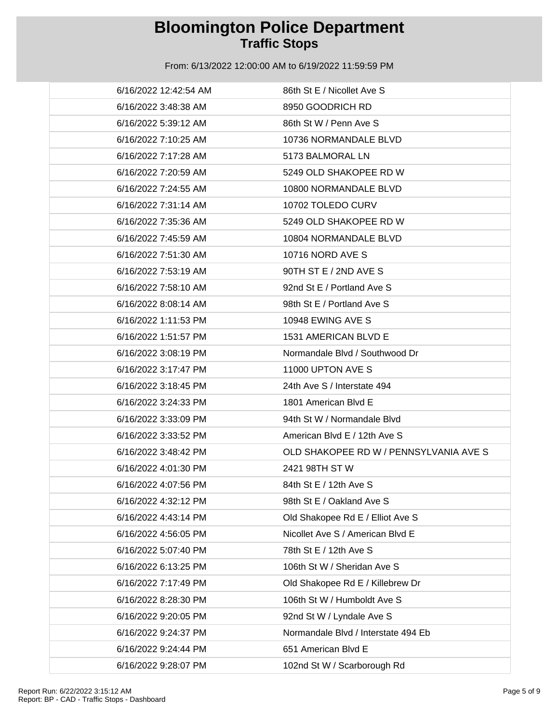| 6/16/2022 12:42:54 AM | 86th St E / Nicollet Ave S             |
|-----------------------|----------------------------------------|
| 6/16/2022 3:48:38 AM  | 8950 GOODRICH RD                       |
| 6/16/2022 5:39:12 AM  | 86th St W / Penn Ave S                 |
| 6/16/2022 7:10:25 AM  | 10736 NORMANDALE BLVD                  |
| 6/16/2022 7:17:28 AM  | 5173 BALMORAL LN                       |
| 6/16/2022 7:20:59 AM  | 5249 OLD SHAKOPEE RD W                 |
| 6/16/2022 7:24:55 AM  | 10800 NORMANDALE BLVD                  |
| 6/16/2022 7:31:14 AM  | 10702 TOLEDO CURV                      |
| 6/16/2022 7:35:36 AM  | 5249 OLD SHAKOPEE RD W                 |
| 6/16/2022 7:45:59 AM  | 10804 NORMANDALE BLVD                  |
| 6/16/2022 7:51:30 AM  | <b>10716 NORD AVE S</b>                |
| 6/16/2022 7:53:19 AM  | 90TH ST E / 2ND AVE S                  |
| 6/16/2022 7:58:10 AM  | 92nd St E / Portland Ave S             |
| 6/16/2022 8:08:14 AM  | 98th St E / Portland Ave S             |
| 6/16/2022 1:11:53 PM  | 10948 EWING AVE S                      |
| 6/16/2022 1:51:57 PM  | 1531 AMERICAN BLVD E                   |
| 6/16/2022 3:08:19 PM  | Normandale Blvd / Southwood Dr         |
| 6/16/2022 3:17:47 PM  | 11000 UPTON AVE S                      |
| 6/16/2022 3:18:45 PM  | 24th Ave S / Interstate 494            |
| 6/16/2022 3:24:33 PM  | 1801 American Blvd E                   |
| 6/16/2022 3:33:09 PM  | 94th St W / Normandale Blvd            |
| 6/16/2022 3:33:52 PM  | American Blvd E / 12th Ave S           |
| 6/16/2022 3:48:42 PM  | OLD SHAKOPEE RD W / PENNSYLVANIA AVE S |
| 6/16/2022 4:01:30 PM  | 2421 98TH ST W                         |
| 6/16/2022 4:07:56 PM  | 84th St E / 12th Ave S                 |
| 6/16/2022 4:32:12 PM  | 98th St E / Oakland Ave S              |
| 6/16/2022 4:43:14 PM  | Old Shakopee Rd E / Elliot Ave S       |
| 6/16/2022 4:56:05 PM  | Nicollet Ave S / American Blvd E       |
| 6/16/2022 5:07:40 PM  | 78th St E / 12th Ave S                 |
| 6/16/2022 6:13:25 PM  | 106th St W / Sheridan Ave S            |
| 6/16/2022 7:17:49 PM  | Old Shakopee Rd E / Killebrew Dr       |
| 6/16/2022 8:28:30 PM  | 106th St W / Humboldt Ave S            |
| 6/16/2022 9:20:05 PM  | 92nd St W / Lyndale Ave S              |
| 6/16/2022 9:24:37 PM  | Normandale Blvd / Interstate 494 Eb    |
| 6/16/2022 9:24:44 PM  | 651 American Blvd E                    |
| 6/16/2022 9:28:07 PM  | 102nd St W / Scarborough Rd            |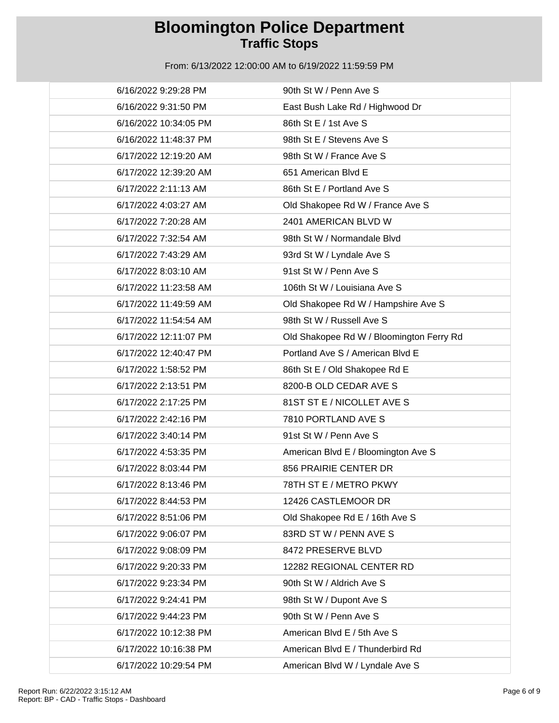| 6/16/2022 9:29:28 PM  | 90th St W / Penn Ave S                   |
|-----------------------|------------------------------------------|
| 6/16/2022 9:31:50 PM  | East Bush Lake Rd / Highwood Dr          |
| 6/16/2022 10:34:05 PM | 86th St E / 1st Ave S                    |
| 6/16/2022 11:48:37 PM | 98th St E / Stevens Ave S                |
| 6/17/2022 12:19:20 AM | 98th St W / France Ave S                 |
| 6/17/2022 12:39:20 AM | 651 American Blvd E                      |
| 6/17/2022 2:11:13 AM  | 86th St E / Portland Ave S               |
| 6/17/2022 4:03:27 AM  | Old Shakopee Rd W / France Ave S         |
| 6/17/2022 7:20:28 AM  | 2401 AMERICAN BLVD W                     |
| 6/17/2022 7:32:54 AM  | 98th St W / Normandale Blvd              |
| 6/17/2022 7:43:29 AM  | 93rd St W / Lyndale Ave S                |
| 6/17/2022 8:03:10 AM  | 91st St W / Penn Ave S                   |
| 6/17/2022 11:23:58 AM | 106th St W / Louisiana Ave S             |
| 6/17/2022 11:49:59 AM | Old Shakopee Rd W / Hampshire Ave S      |
| 6/17/2022 11:54:54 AM | 98th St W / Russell Ave S                |
| 6/17/2022 12:11:07 PM | Old Shakopee Rd W / Bloomington Ferry Rd |
| 6/17/2022 12:40:47 PM | Portland Ave S / American Blvd E         |
| 6/17/2022 1:58:52 PM  | 86th St E / Old Shakopee Rd E            |
| 6/17/2022 2:13:51 PM  | 8200-B OLD CEDAR AVE S                   |
| 6/17/2022 2:17:25 PM  | 81ST ST E / NICOLLET AVE S               |
| 6/17/2022 2:42:16 PM  | 7810 PORTLAND AVE S                      |
| 6/17/2022 3:40:14 PM  | 91st St W / Penn Ave S                   |
| 6/17/2022 4:53:35 PM  | American Blvd E / Bloomington Ave S      |
| 6/17/2022 8:03:44 PM  | 856 PRAIRIE CENTER DR                    |
| 6/17/2022 8:13:46 PM  | 78TH ST E / METRO PKWY                   |
| 6/17/2022 8:44:53 PM  | 12426 CASTLEMOOR DR                      |
| 6/17/2022 8:51:06 PM  | Old Shakopee Rd E / 16th Ave S           |
| 6/17/2022 9:06:07 PM  | 83RD ST W / PENN AVE S                   |
| 6/17/2022 9:08:09 PM  | 8472 PRESERVE BLVD                       |
| 6/17/2022 9:20:33 PM  | 12282 REGIONAL CENTER RD                 |
| 6/17/2022 9:23:34 PM  | 90th St W / Aldrich Ave S                |
| 6/17/2022 9:24:41 PM  | 98th St W / Dupont Ave S                 |
| 6/17/2022 9:44:23 PM  | 90th St W / Penn Ave S                   |
| 6/17/2022 10:12:38 PM | American Blvd E / 5th Ave S              |
| 6/17/2022 10:16:38 PM | American Blvd E / Thunderbird Rd         |
| 6/17/2022 10:29:54 PM | American Blvd W / Lyndale Ave S          |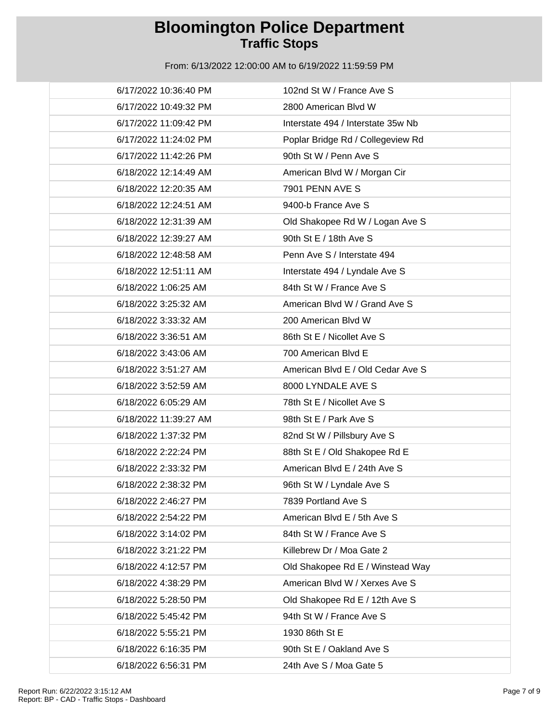| 6/17/2022 10:36:40 PM | 102nd St W / France Ave S          |
|-----------------------|------------------------------------|
| 6/17/2022 10:49:32 PM | 2800 American Blvd W               |
| 6/17/2022 11:09:42 PM | Interstate 494 / Interstate 35w Nb |
| 6/17/2022 11:24:02 PM | Poplar Bridge Rd / Collegeview Rd  |
| 6/17/2022 11:42:26 PM | 90th St W / Penn Ave S             |
| 6/18/2022 12:14:49 AM | American Blvd W / Morgan Cir       |
| 6/18/2022 12:20:35 AM | 7901 PENN AVE S                    |
| 6/18/2022 12:24:51 AM | 9400-b France Ave S                |
| 6/18/2022 12:31:39 AM | Old Shakopee Rd W / Logan Ave S    |
| 6/18/2022 12:39:27 AM | 90th St E / 18th Ave S             |
| 6/18/2022 12:48:58 AM | Penn Ave S / Interstate 494        |
| 6/18/2022 12:51:11 AM | Interstate 494 / Lyndale Ave S     |
| 6/18/2022 1:06:25 AM  | 84th St W / France Ave S           |
| 6/18/2022 3:25:32 AM  | American Blvd W / Grand Ave S      |
| 6/18/2022 3:33:32 AM  | 200 American Blvd W                |
| 6/18/2022 3:36:51 AM  | 86th St E / Nicollet Ave S         |
| 6/18/2022 3:43:06 AM  | 700 American Blvd E                |
| 6/18/2022 3:51:27 AM  | American Blvd E / Old Cedar Ave S  |
| 6/18/2022 3:52:59 AM  | 8000 LYNDALE AVE S                 |
| 6/18/2022 6:05:29 AM  | 78th St E / Nicollet Ave S         |
| 6/18/2022 11:39:27 AM | 98th St E / Park Ave S             |
| 6/18/2022 1:37:32 PM  | 82nd St W / Pillsbury Ave S        |
| 6/18/2022 2:22:24 PM  | 88th St E / Old Shakopee Rd E      |
| 6/18/2022 2:33:32 PM  | American Blvd E / 24th Ave S       |
| 6/18/2022 2:38:32 PM  | 96th St W / Lyndale Ave S          |
| 6/18/2022 2:46:27 PM  | 7839 Portland Ave S                |
| 6/18/2022 2:54:22 PM  | American Blvd E / 5th Ave S        |
| 6/18/2022 3:14:02 PM  | 84th St W / France Ave S           |
| 6/18/2022 3:21:22 PM  | Killebrew Dr / Moa Gate 2          |
| 6/18/2022 4:12:57 PM  | Old Shakopee Rd E / Winstead Way   |
| 6/18/2022 4:38:29 PM  | American Blvd W / Xerxes Ave S     |
| 6/18/2022 5:28:50 PM  | Old Shakopee Rd E / 12th Ave S     |
| 6/18/2022 5:45:42 PM  | 94th St W / France Ave S           |
| 6/18/2022 5:55:21 PM  | 1930 86th St E                     |
| 6/18/2022 6:16:35 PM  | 90th St E / Oakland Ave S          |
| 6/18/2022 6:56:31 PM  | 24th Ave S / Moa Gate 5            |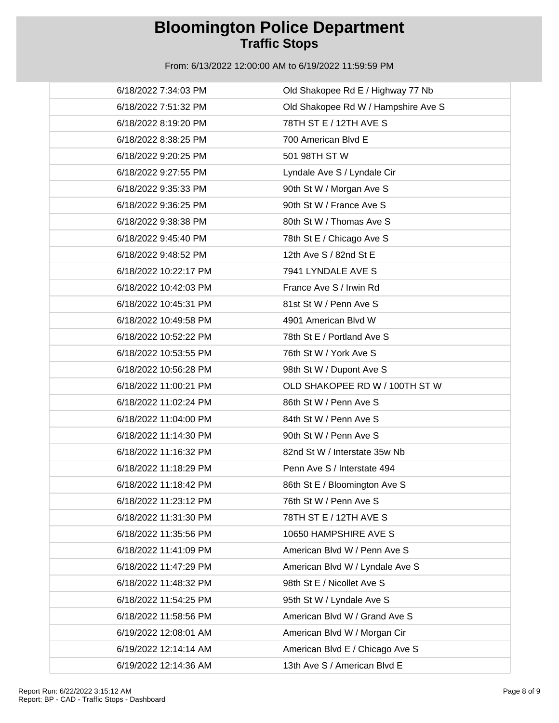| 6/18/2022 7:34:03 PM  | Old Shakopee Rd E / Highway 77 Nb   |
|-----------------------|-------------------------------------|
| 6/18/2022 7:51:32 PM  | Old Shakopee Rd W / Hampshire Ave S |
| 6/18/2022 8:19:20 PM  | 78TH ST E / 12TH AVE S              |
| 6/18/2022 8:38:25 PM  | 700 American Blvd E                 |
| 6/18/2022 9:20:25 PM  | 501 98TH ST W                       |
| 6/18/2022 9:27:55 PM  | Lyndale Ave S / Lyndale Cir         |
| 6/18/2022 9:35:33 PM  | 90th St W / Morgan Ave S            |
| 6/18/2022 9:36:25 PM  | 90th St W / France Ave S            |
| 6/18/2022 9:38:38 PM  | 80th St W / Thomas Ave S            |
| 6/18/2022 9:45:40 PM  | 78th St E / Chicago Ave S           |
| 6/18/2022 9:48:52 PM  | 12th Ave S / 82nd St E              |
| 6/18/2022 10:22:17 PM | 7941 LYNDALE AVE S                  |
| 6/18/2022 10:42:03 PM | France Ave S / Irwin Rd             |
| 6/18/2022 10:45:31 PM | 81st St W / Penn Ave S              |
| 6/18/2022 10:49:58 PM | 4901 American Blvd W                |
| 6/18/2022 10:52:22 PM | 78th St E / Portland Ave S          |
| 6/18/2022 10:53:55 PM | 76th St W / York Ave S              |
| 6/18/2022 10:56:28 PM | 98th St W / Dupont Ave S            |
| 6/18/2022 11:00:21 PM | OLD SHAKOPEE RD W / 100TH ST W      |
| 6/18/2022 11:02:24 PM | 86th St W / Penn Ave S              |
| 6/18/2022 11:04:00 PM | 84th St W / Penn Ave S              |
| 6/18/2022 11:14:30 PM | 90th St W / Penn Ave S              |
| 6/18/2022 11:16:32 PM | 82nd St W / Interstate 35w Nb       |
| 6/18/2022 11:18:29 PM | Penn Ave S / Interstate 494         |
| 6/18/2022 11:18:42 PM | 86th St E / Bloomington Ave S       |
| 6/18/2022 11:23:12 PM | 76th St W / Penn Ave S              |
| 6/18/2022 11:31:30 PM | 78TH ST E / 12TH AVE S              |
| 6/18/2022 11:35:56 PM | 10650 HAMPSHIRE AVE S               |
| 6/18/2022 11:41:09 PM | American Blvd W / Penn Ave S        |
| 6/18/2022 11:47:29 PM | American Blvd W / Lyndale Ave S     |
| 6/18/2022 11:48:32 PM | 98th St E / Nicollet Ave S          |
| 6/18/2022 11:54:25 PM | 95th St W / Lyndale Ave S           |
| 6/18/2022 11:58:56 PM | American Blvd W / Grand Ave S       |
| 6/19/2022 12:08:01 AM | American Blvd W / Morgan Cir        |
| 6/19/2022 12:14:14 AM | American Blvd E / Chicago Ave S     |
| 6/19/2022 12:14:36 AM | 13th Ave S / American Blvd E        |